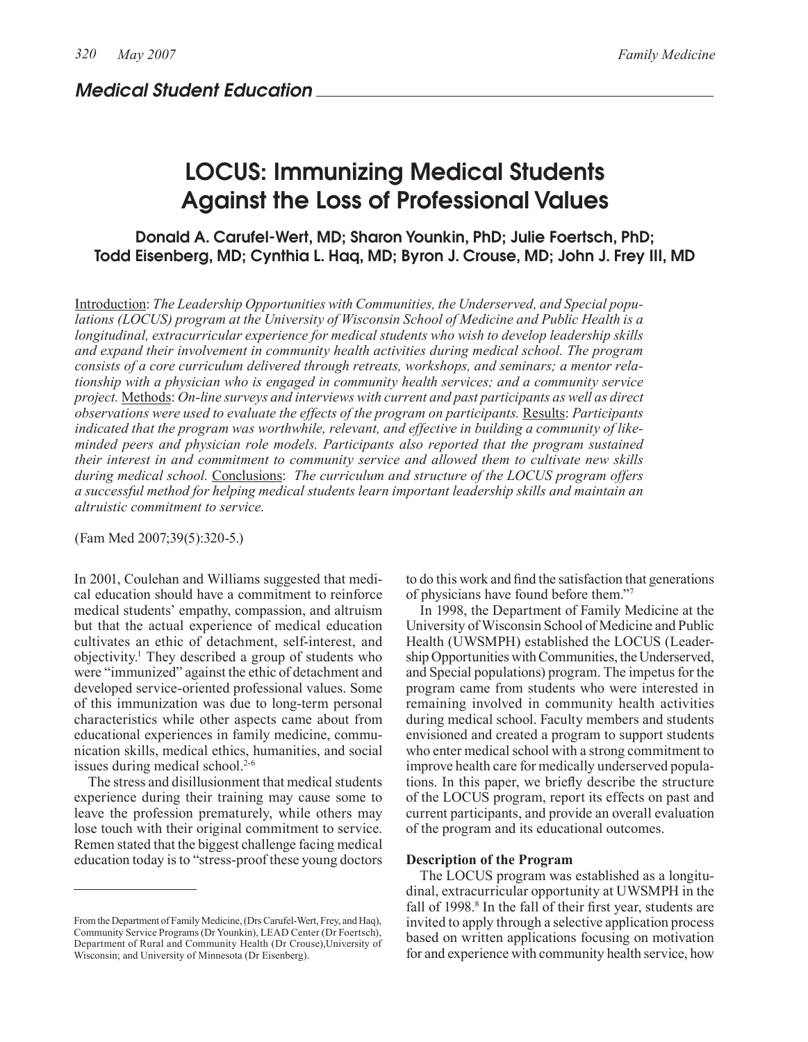# LOCUS: Immunizing Medical Students Against the Loss of Professional Values

Donald A. Carufel-Wert, MD; Sharon Younkin, PhD; Julie Foertsch, PhD; Todd Eisenberg, MD; Cynthia L. Haq, MD; Byron J. Crouse, MD; John J. Frey III, MD

Introduction: *The Leadership Opportunities with Communities, the Underserved, and Special populations (LOCUS) program at the University of Wisconsin School of Medicine and Public Health is a longitudinal, extracurricular experience for medical students who wish to develop leadership skills and expand their involvement in community health activities during medical school. The program consists of a core curriculum delivered through retreats, workshops, and seminars; a mentor relationship with a physician who is engaged in community health services; and a community service project.* Methods: *On-line surveys and interviews with current and past participants as well as direct observations were used to evaluate the effects of the program on participants.* Results: *Participants indicated that the program was worthwhile, relevant, and effective in building a community of likeminded peers and physician role models. Participants also reported that the program sustained their interest in and commitment to community service and allowed them to cultivate new skills during medical school.* Conclusions: *The curriculum and structure of the LOCUS program offers a successful method for helping medical students learn important leadership skills and maintain an altruistic commitment to service.*

(Fam Med 2007;39(5):320-5.)

In 2001, Coulehan and Williams suggested that medical education should have a commitment to reinforce medical students' empathy, compassion, and altruism but that the actual experience of medical education cultivates an ethic of detachment, self-interest, and objectivity.1 They described a group of students who were "immunized" against the ethic of detachment and developed service-oriented professional values. Some of this immunization was due to long-term personal characteristics while other aspects came about from educational experiences in family medicine, communication skills, medical ethics, humanities, and social issues during medical school.<sup>2-6</sup>

The stress and disillusionment that medical students experience during their training may cause some to leave the profession prematurely, while others may lose touch with their original commitment to service. Remen stated that the biggest challenge facing medical education today is to "stress-proof these young doctors

From the Department of Family Medicine, (Drs Carufel-Wert, Frey, and Haq), Community Service Programs (Dr Younkin), LEAD Center (Dr Foertsch), Department of Rural and Community Health (Dr Crouse),University of Wisconsin; and University of Minnesota (Dr Eisenberg).

to do this work and find the satisfaction that generations of physicians have found before them."7

In 1998, the Department of Family Medicine at the University of Wisconsin School of Medicine and Public Health (UWSMPH) established the LOCUS (Leadership Opportunities with Communities, the Underserved, and Special populations) program. The impetus for the program came from students who were interested in remaining involved in community health activities during medical school. Faculty members and students envisioned and created a program to support students who enter medical school with a strong commitment to improve health care for medically underserved populations. In this paper, we briefly describe the structure of the LOCUS program, report its effects on past and current participants, and provide an overall evaluation of the program and its educational outcomes.

### **Description of the Program**

The LOCUS program was established as a longitudinal, extracurricular opportunity at UWSMPH in the fall of 1998.<sup>8</sup> In the fall of their first year, students are invited to apply through a selective application process based on written applications focusing on motivation for and experience with community health service, how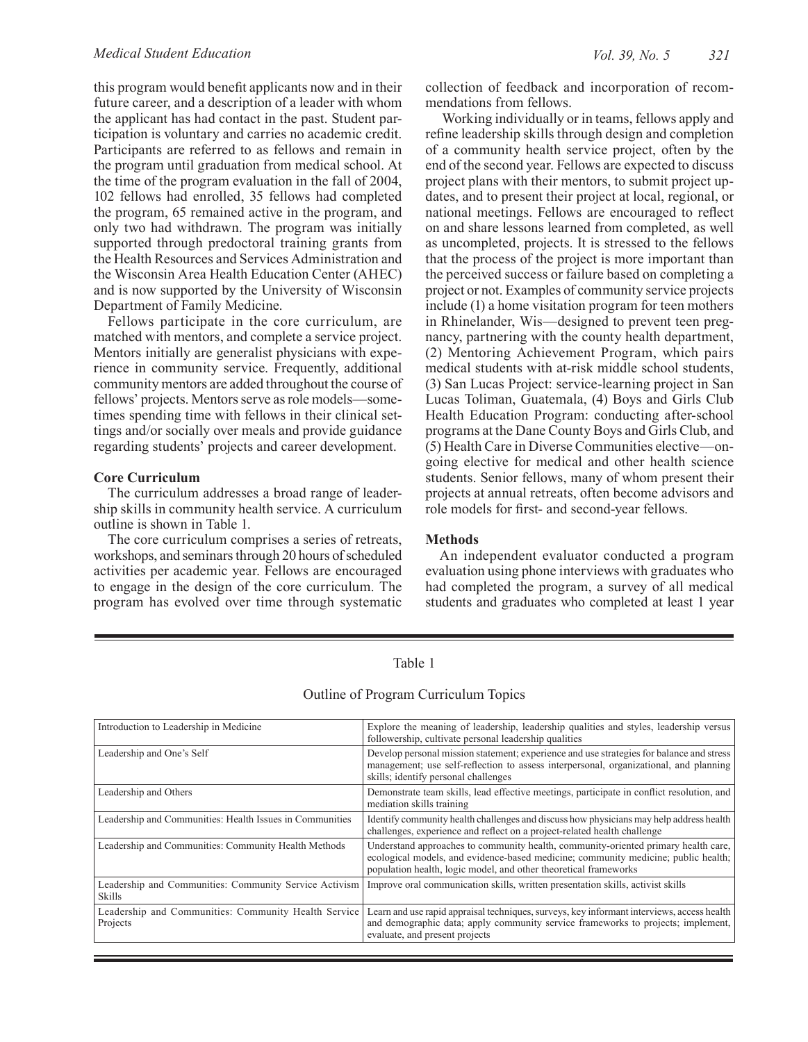this program would benefit applicants now and in their future career, and a description of a leader with whom the applicant has had contact in the past. Student participation is voluntary and carries no academic credit. Participants are referred to as fellows and remain in the program until graduation from medical school. At the time of the program evaluation in the fall of 2004, 102 fellows had enrolled, 35 fellows had completed the program, 65 remained active in the program, and only two had withdrawn. The program was initially supported through predoctoral training grants from the Health Resources and Services Administration and the Wisconsin Area Health Education Center (AHEC) and is now supported by the University of Wisconsin Department of Family Medicine.

Fellows participate in the core curriculum, are matched with mentors, and complete a service project. Mentors initially are generalist physicians with experience in community service. Frequently, additional community mentors are added throughout the course of fellows' projects. Mentors serve as role models—sometimes spending time with fellows in their clinical settings and/or socially over meals and provide guidance regarding students' projects and career development.

### **Core Curriculum**

The curriculum addresses a broad range of leadership skills in community health service. A curriculum outline is shown in Table 1.

The core curriculum comprises a series of retreats, workshops, and seminars through 20 hours of scheduled activities per academic year. Fellows are encouraged to engage in the design of the core curriculum. The program has evolved over time through systematic

collection of feedback and incorporation of recommendations from fellows.

 Working individually or in teams, fellows apply and refine leadership skills through design and completion of a community health service project, often by the end of the second year. Fellows are expected to discuss project plans with their mentors, to submit project updates, and to present their project at local, regional, or national meetings. Fellows are encouraged to reflect on and share lessons learned from completed, as well as uncompleted, projects. It is stressed to the fellows that the process of the project is more important than the perceived success or failure based on completing a project or not. Examples of community service projects include (1) a home visitation program for teen mothers in Rhinelander, Wis—designed to prevent teen pregnancy, partnering with the county health department, (2) Mentoring Achievement Program, which pairs medical students with at-risk middle school students, (3) San Lucas Project: service-learning project in San Lucas Toliman, Guatemala, (4) Boys and Girls Club Health Education Program: conducting after-school programs at the Dane County Boys and Girls Club, and (5) Health Care in Diverse Communities elective—ongoing elective for medical and other health science students. Senior fellows, many of whom present their projects at annual retreats, often become advisors and role models for first- and second-year fellows.

## **Methods**

An independent evaluator conducted a program evaluation using phone interviews with graduates who had completed the program, a survey of all medical students and graduates who completed at least 1 year

| Introduction to Leadership in Medicine                                  | Explore the meaning of leadership, leadership qualities and styles, leadership versus<br>followership, cultivate personal leadership qualities                                                                                               |
|-------------------------------------------------------------------------|----------------------------------------------------------------------------------------------------------------------------------------------------------------------------------------------------------------------------------------------|
| Leadership and One's Self                                               | Develop personal mission statement; experience and use strategies for balance and stress<br>management; use self-reflection to assess interpersonal, organizational, and planning<br>skills; identify personal challenges                    |
| Leadership and Others                                                   | Demonstrate team skills, lead effective meetings, participate in conflict resolution, and<br>mediation skills training                                                                                                                       |
| Leadership and Communities: Health Issues in Communities                | Identify community health challenges and discuss how physicians may help address health<br>challenges, experience and reflect on a project-related health challenge                                                                          |
| Leadership and Communities: Community Health Methods                    | Understand approaches to community health, community-oriented primary health care,<br>ecological models, and evidence-based medicine; community medicine; public health;<br>population health, logic model, and other theoretical frameworks |
| Leadership and Communities: Community Service Activism<br><b>Skills</b> | Improve oral communication skills, written presentation skills, activist skills                                                                                                                                                              |
| Leadership and Communities: Community Health Service<br>Projects        | Learn and use rapid appraisal techniques, surveys, key informant interviews, access health<br>and demographic data; apply community service frameworks to projects; implement,<br>evaluate, and present projects                             |

# Table 1

# Outline of Program Curriculum Topics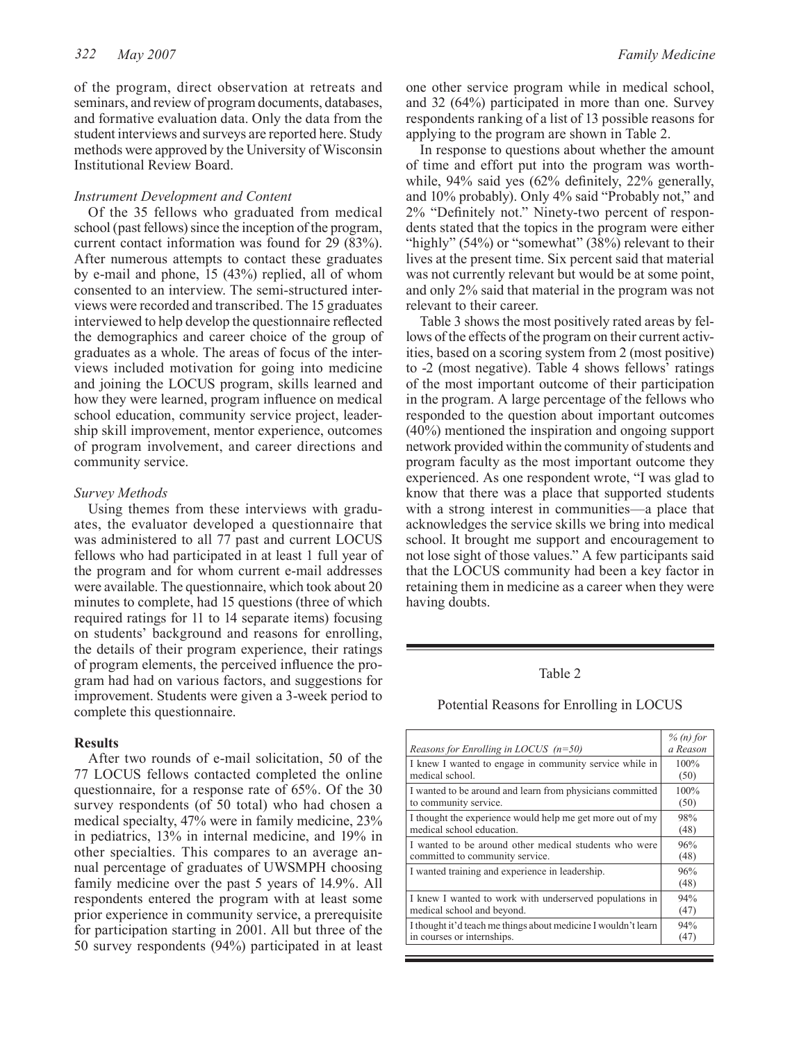of the program, direct observation at retreats and seminars, and review of program documents, databases, and formative evaluation data. Only the data from the student interviews and surveys are reported here. Study methods were approved by the University of Wisconsin Institutional Review Board.

#### *Instrument Development and Content*

Of the 35 fellows who graduated from medical school (past fellows) since the inception of the program, current contact information was found for 29 (83%). After numerous attempts to contact these graduates by e-mail and phone, 15 (43%) replied, all of whom consented to an interview. The semi-structured interviews were recorded and transcribed. The 15 graduates interviewed to help develop the questionnaire reflected the demographics and career choice of the group of graduates as a whole. The areas of focus of the interviews included motivation for going into medicine and joining the LOCUS program, skills learned and how they were learned, program influence on medical school education, community service project, leadership skill improvement, mentor experience, outcomes of program involvement, and career directions and community service.

#### *Survey Methods*

Using themes from these interviews with graduates, the evaluator developed a questionnaire that was administered to all 77 past and current LOCUS fellows who had participated in at least 1 full year of the program and for whom current e-mail addresses were available. The questionnaire, which took about 20 minutes to complete, had 15 questions (three of which required ratings for 11 to 14 separate items) focusing on students' background and reasons for enrolling, the details of their program experience, their ratings of program elements, the perceived influence the program had had on various factors, and suggestions for improvement. Students were given a 3-week period to complete this questionnaire.

#### **Results**

After two rounds of e-mail solicitation, 50 of the 77 LOCUS fellows contacted completed the online questionnaire, for a response rate of 65%. Of the 30 survey respondents (of 50 total) who had chosen a medical specialty, 47% were in family medicine, 23% in pediatrics, 13% in internal medicine, and 19% in other specialties. This compares to an average annual percentage of graduates of UWSMPH choosing family medicine over the past 5 years of 14.9%. All respondents entered the program with at least some prior experience in community service, a prerequisite for participation starting in 2001. All but three of the 50 survey respondents (94%) participated in at least

one other service program while in medical school, and 32 (64%) participated in more than one. Survey respondents ranking of a list of 13 possible reasons for applying to the program are shown in Table 2.

In response to questions about whether the amount of time and effort put into the program was worthwhile, 94% said yes (62% definitely, 22% generally, and 10% probably). Only 4% said "Probably not," and 2% "Definitely not." Ninety-two percent of respondents stated that the topics in the program were either "highly" (54%) or "somewhat" (38%) relevant to their lives at the present time. Six percent said that material was not currently relevant but would be at some point, and only 2% said that material in the program was not relevant to their career.

Table 3 shows the most positively rated areas by fellows of the effects of the program on their current activities, based on a scoring system from 2 (most positive) to -2 (most negative). Table 4 shows fellows' ratings of the most important outcome of their participation in the program. A large percentage of the fellows who responded to the question about important outcomes (40%) mentioned the inspiration and ongoing support network provided within the community of students and program faculty as the most important outcome they experienced. As one respondent wrote, "I was glad to know that there was a place that supported students with a strong interest in communities—a place that acknowledges the service skills we bring into medical school. It brought me support and encouragement to not lose sight of those values." A few participants said that the LOCUS community had been a key factor in retaining them in medicine as a career when they were having doubts.

### Table 2

### Potential Reasons for Enrolling in LOCUS

|                                                                | $% (n)$ for |
|----------------------------------------------------------------|-------------|
| Reasons for Enrolling in LOCUS $(n=50)$                        | a Reason    |
| I knew I wanted to engage in community service while in        | 100%        |
| medical school.                                                | (50)        |
| I wanted to be around and learn from physicians committed      | 100%        |
| to community service.                                          | (50)        |
| I thought the experience would help me get more out of my      | 98%         |
| medical school education.                                      | (48)        |
| I wanted to be around other medical students who were          | 96%         |
| committed to community service.                                | (48)        |
| I wanted training and experience in leadership.                | 96%<br>(48) |
| I knew I wanted to work with underserved populations in        | 94%         |
| medical school and beyond.                                     | (47)        |
| I thought it'd teach me things about medicine I wouldn't learn | 94%         |
| in courses or internships.                                     | (47)        |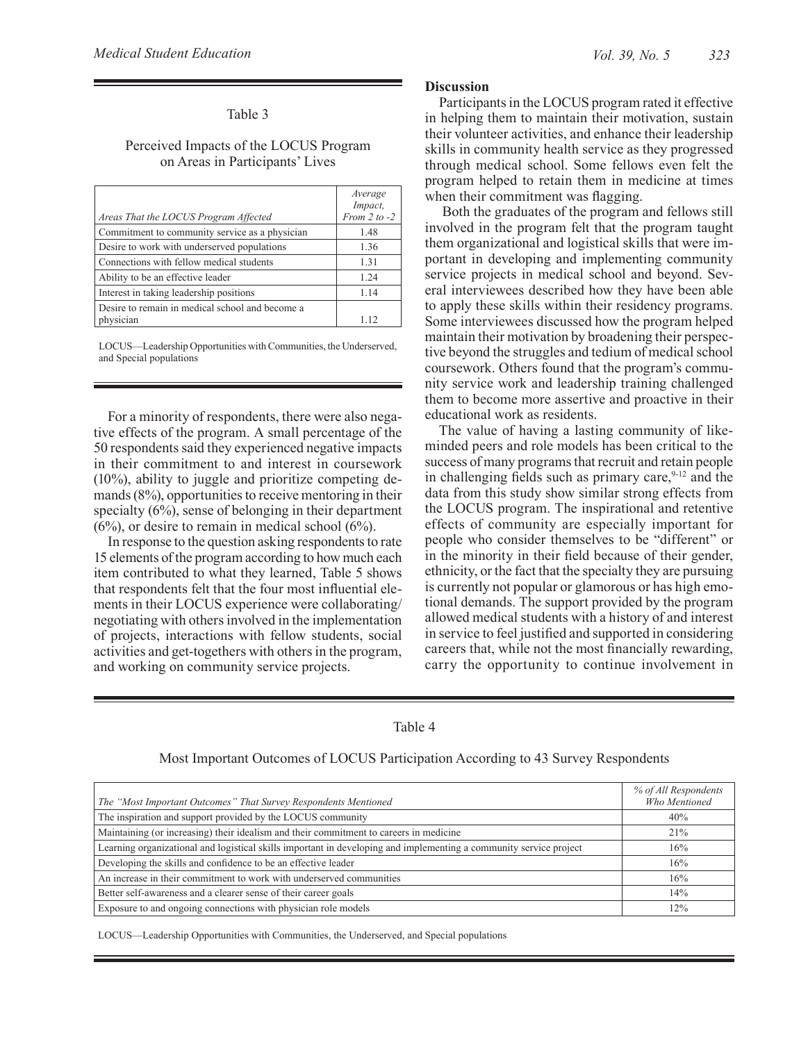# Table 3

## Perceived Impacts of the LOCUS Program on Areas in Participants' Lives

|                                                 | Average<br>Impact, |
|-------------------------------------------------|--------------------|
| Areas That the LOCUS Program Affected           | From $2$ to $-2$   |
| Commitment to community service as a physician  | 1.48               |
| Desire to work with underserved populations     | 1.36               |
| Connections with fellow medical students        | 1.31               |
| Ability to be an effective leader               | 1.24               |
| Interest in taking leadership positions         | 1.14               |
| Desire to remain in medical school and become a |                    |
| physician                                       | 1.12               |

LOCUS—Leadership Opportunities with Communities, the Underserved, and Special populations

For a minority of respondents, there were also negative effects of the program. A small percentage of the 50 respondents said they experienced negative impacts in their commitment to and interest in coursework (10%), ability to juggle and prioritize competing demands (8%), opportunities to receive mentoring in their specialty (6%), sense of belonging in their department  $(6\%)$ , or desire to remain in medical school  $(6\%)$ .

In response to the question asking respondents to rate 15 elements of the program according to how much each item contributed to what they learned, Table 5 shows that respondents felt that the four most influential elements in their LOCUS experience were collaborating/ negotiating with others involved in the implementation of projects, interactions with fellow students, social activities and get-togethers with others in the program, and working on community service projects.

## **Discussion**

Participants in the LOCUS program rated it effective in helping them to maintain their motivation, sustain their volunteer activities, and enhance their leadership skills in community health service as they progressed through medical school. Some fellows even felt the program helped to retain them in medicine at times when their commitment was flagging.

 Both the graduates of the program and fellows still involved in the program felt that the program taught them organizational and logistical skills that were important in developing and implementing community service projects in medical school and beyond. Several interviewees described how they have been able to apply these skills within their residency programs. Some interviewees discussed how the program helped maintain their motivation by broadening their perspective beyond the struggles and tedium of medical school coursework. Others found that the program's community service work and leadership training challenged them to become more assertive and proactive in their educational work as residents.

The value of having a lasting community of likeminded peers and role models has been critical to the success of many programs that recruit and retain people in challenging fields such as primary care,  $9-12$  and the data from this study show similar strong effects from the LOCUS program. The inspirational and retentive effects of community are especially important for people who consider themselves to be "different" or in the minority in their field because of their gender, ethnicity, or the fact that the specialty they are pursuing is currently not popular or glamorous or has high emotional demands. The support provided by the program allowed medical students with a history of and interest in service to feel justified and supported in considering careers that, while not the most financially rewarding, carry the opportunity to continue involvement in

# Table 4

|                                                                                                                    | % of All Respondents |
|--------------------------------------------------------------------------------------------------------------------|----------------------|
| The "Most Important Outcomes" That Survey Respondents Mentioned                                                    | Who Mentioned        |
| The inspiration and support provided by the LOCUS community                                                        | 40%                  |
| Maintaining (or increasing) their idealism and their commitment to careers in medicine                             | 21%                  |
| Learning organizational and logistical skills important in developing and implementing a community service project | 16%                  |
| Developing the skills and confidence to be an effective leader                                                     | 16%                  |
| An increase in their commitment to work with underserved communities                                               | 16%                  |
| Better self-awareness and a clearer sense of their career goals                                                    | 14%                  |
| Exposure to and ongoing connections with physician role models                                                     | 12%                  |

Most Important Outcomes of LOCUS Participation According to 43 Survey Respondents

LOCUS—Leadership Opportunities with Communities, the Underserved, and Special populations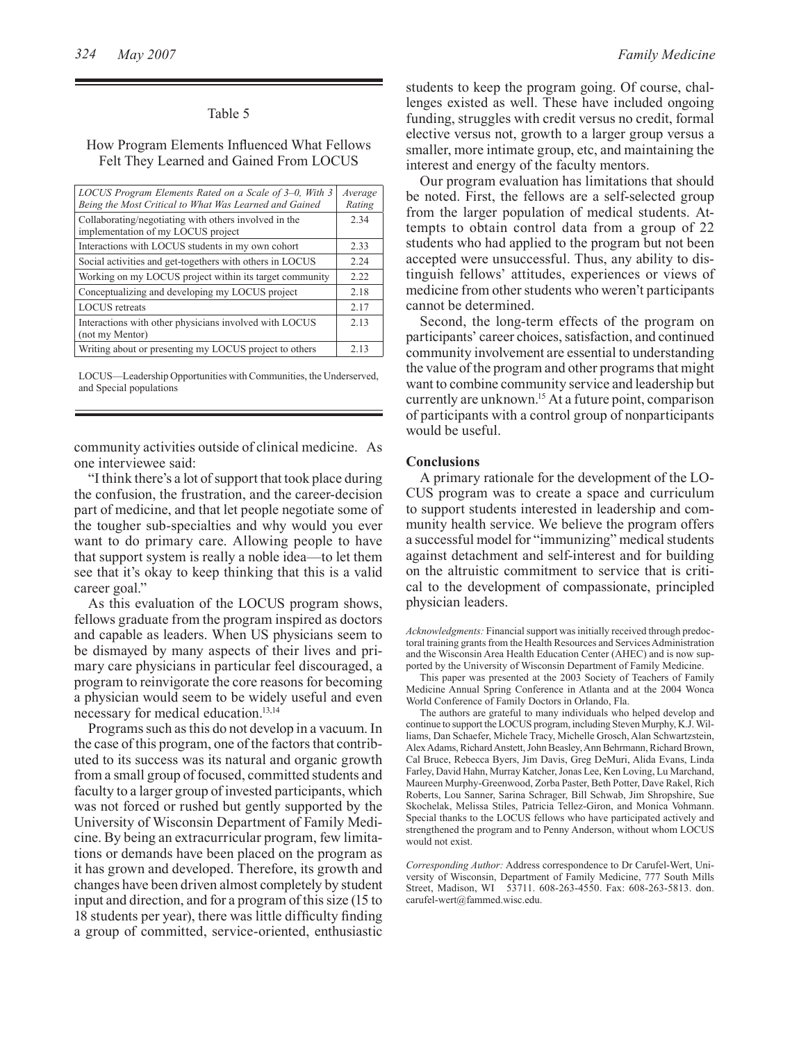## Table 5

### How Program Elements Influenced What Fellows Felt They Learned and Gained From LOCUS

| LOCUS Program Elements Rated on a Scale of 3–0, With 3<br>Being the Most Critical to What Was Learned and Gained |      |
|------------------------------------------------------------------------------------------------------------------|------|
| Collaborating/negotiating with others involved in the<br>implementation of my LOCUS project                      |      |
| Interactions with LOCUS students in my own cohort                                                                | 2.33 |
| Social activities and get-togethers with others in LOCUS                                                         | 2.24 |
| Working on my LOCUS project within its target community                                                          | 2.22 |
| Conceptualizing and developing my LOCUS project                                                                  | 2.18 |
| <b>LOCUS</b> retreats                                                                                            | 2.17 |
| Interactions with other physicians involved with LOCUS<br>(not my Mentor)                                        | 2.13 |
| Writing about or presenting my LOCUS project to others                                                           | 2.13 |

LOCUS—Leadership Opportunities with Communities, the Underserved, and Special populations

community activities outside of clinical medicine. As one interviewee said:

"I think there's a lot of support that took place during the confusion, the frustration, and the career-decision part of medicine, and that let people negotiate some of the tougher sub-specialties and why would you ever want to do primary care. Allowing people to have that support system is really a noble idea—to let them see that it's okay to keep thinking that this is a valid career goal."

As this evaluation of the LOCUS program shows, fellows graduate from the program inspired as doctors and capable as leaders. When US physicians seem to be dismayed by many aspects of their lives and primary care physicians in particular feel discouraged, a program to reinvigorate the core reasons for becoming a physician would seem to be widely useful and even necessary for medical education.<sup>13,14</sup>

Programs such as this do not develop in a vacuum. In the case of this program, one of the factors that contributed to its success was its natural and organic growth from a small group of focused, committed students and faculty to a larger group of invested participants, which was not forced or rushed but gently supported by the University of Wisconsin Department of Family Medicine. By being an extracurricular program, few limitations or demands have been placed on the program as it has grown and developed. Therefore, its growth and changes have been driven almost completely by student input and direction, and for a program of this size (15 to 18 students per year), there was little difficulty finding a group of committed, service-oriented, enthusiastic

students to keep the program going. Of course, challenges existed as well. These have included ongoing funding, struggles with credit versus no credit, formal elective versus not, growth to a larger group versus a smaller, more intimate group, etc, and maintaining the interest and energy of the faculty mentors.

Our program evaluation has limitations that should be noted. First, the fellows are a self-selected group from the larger population of medical students. Attempts to obtain control data from a group of 22 students who had applied to the program but not been accepted were unsuccessful. Thus, any ability to distinguish fellows' attitudes, experiences or views of medicine from other students who weren't participants cannot be determined.

Second, the long-term effects of the program on participants' career choices, satisfaction, and continued community involvement are essential to understanding the value of the program and other programs that might want to combine community service and leadership but currently are unknown.15 At a future point, comparison of participants with a control group of nonparticipants would be useful.

#### **Conclusions**

A primary rationale for the development of the LO-CUS program was to create a space and curriculum to support students interested in leadership and community health service. We believe the program offers a successful model for "immunizing" medical students against detachment and self-interest and for building on the altruistic commitment to service that is critical to the development of compassionate, principled physician leaders.

*Acknowledgments:* Financial support was initially received through predoctoral training grants from the Health Resources and Services Administration and the Wisconsin Area Health Education Center (AHEC) and is now supported by the University of Wisconsin Department of Family Medicine.

This paper was presented at the 2003 Society of Teachers of Family Medicine Annual Spring Conference in Atlanta and at the 2004 Wonca World Conference of Family Doctors in Orlando, Fla.

The authors are grateful to many individuals who helped develop and continue to support the LOCUS program, including Steven Murphy, K.J. Williams, Dan Schaefer, Michele Tracy, Michelle Grosch, Alan Schwartzstein, Alex Adams, Richard Anstett, John Beasley, Ann Behrmann, Richard Brown, Cal Bruce, Rebecca Byers, Jim Davis, Greg DeMuri, Alida Evans, Linda Farley, David Hahn, Murray Katcher, Jonas Lee, Ken Loving, Lu Marchand, Maureen Murphy-Greenwood, Zorba Paster, Beth Potter, Dave Rakel, Rich Roberts, Lou Sanner, Sarina Schrager, Bill Schwab, Jim Shropshire, Sue Skochelak, Melissa Stiles, Patricia Tellez-Giron, and Monica Vohmann. Special thanks to the LOCUS fellows who have participated actively and strengthened the program and to Penny Anderson, without whom LOCUS would not exist.

*Corresponding Author:* Address correspondence to Dr Carufel-Wert, University of Wisconsin, Department of Family Medicine, 777 South Mills Street, Madison, WI 53711. 608-263-4550. Fax: 608-263-5813. don. carufel-wert@fammed.wisc.edu.